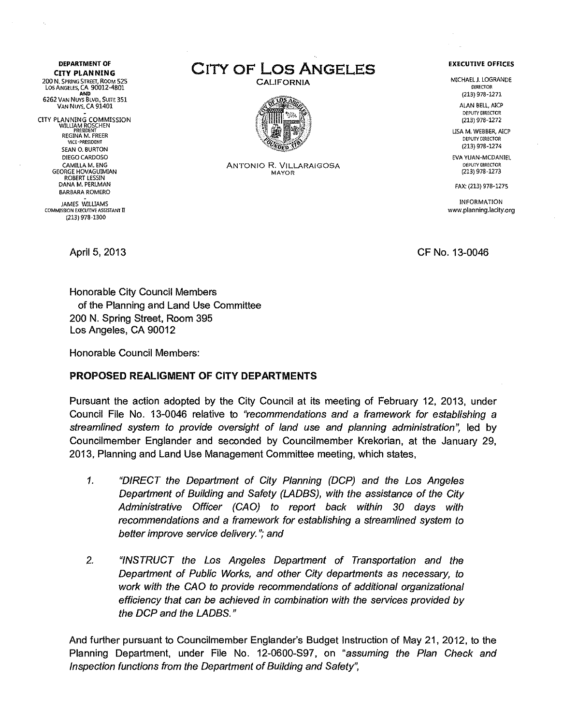**DEPARTMENT OF CITY PLANNING** 200 N. SPRING STREET, ROOM 52.<br>LOS ANGELES, CA 90012-4801 AND<br>:6262 Van Nuys Blvd., Suite 35 VAN NUYS, CA 91401

CITY PLANNING COMMISSIO<br>WILLIAM ROSCHEN<br>REGINA M. FREER VlCE-PRESJOENT SEAN O. BURTON DIEGO CARDOSO CAMILLA M. ENG **GEORGE HOVAGUIMIAN** ROBERT LESSIN DANA M. PERLMAN BARBARA ROMERO

JAMES W1lUAMS COMMISSION EXECUTIVE ASSISTANT II (213) 978-1300

CITY OF Los ANGELES

**CALIFORNIA** 



ANTONIO R. VILLARAIGOSA MAYOR

## **EXECUTIVE OFFICES**

MICHAEL J. LOGRANDE DIRECTOR (213) 978-1271

ALAN BELL, AICP DEPUTY DIRECTOR (213) 978-1272

LISA M. WEBBER, AIcr DEPUTY DIRECTOR (213) 978-1274

EVA YUAN-MCDANIEL DepUTY DIRECTOR (213) 978-1273

FAX: (213) 978-1275

INFORMATION www.planning.lacity.org

April 5, 2013 CF No. 13-0046

Honorable City Council Members of the Planning and Land Use Committee 200 N. Spring Street, Room 395 Los Angeles, CA 90012

Honorable Council Members:

## PROPOSED REALIGMENT OF CITY DEPARTMENTS

Pursuant the action adopted by the City Council at its meeting of February 12, 2013, under Council File No. 13-0046 relative to *"recommendations and* a *framework for establishing* a *streamlined* system *to provide oversight* of *land* use *and planning administration';* led by *Councilmember* Englander and seconded by Councilmember Krekorian, at the January 29, 2013, Planning and Land Use Management Committee meeting, which states,

- *1. "DIRECT the Deparlment* of *City Planning (DCP) and the Los Angeles Deparlment* of *Building and Safety (LADBS), with the assistance* of *the City Administrative Officer (CAD) to reporl back within 30 days with recommendations and* a *framework for establishing* a *streamlined* system *to better improve service delivery."; and*
- *2. "INSTRUCT the Los Angeles Deparlment* of *Transporlation and the Deparlment* of *Public Works, and other City deparlments* as *necessary, to work with the CAD to provide recommendations* of *additional organizational efficiency that can be achieved in combination with the services provided by the DCP and the LADBS."*

And further pursuant to Councilmember Englander's Budget Instruction of May 21, 2012, to the Planning Department, under File No. 12-0600-S97, on *"assuming the Plan Check and Inspection functions from the Deparlment* of *Building and Safety",*